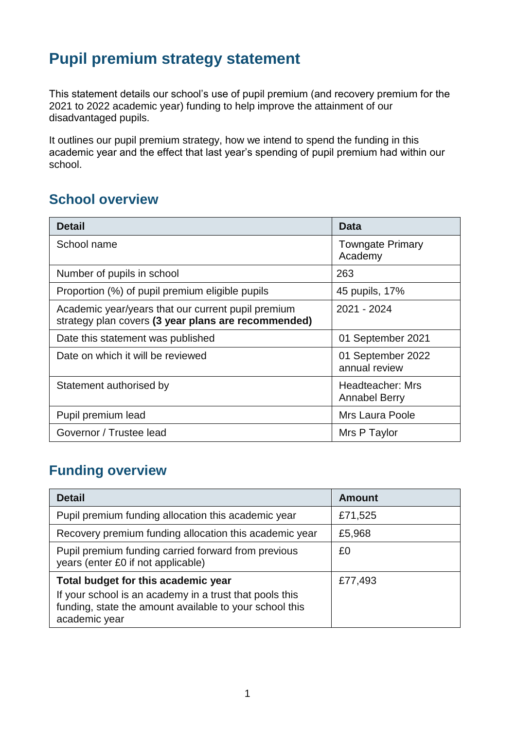# **Pupil premium strategy statement**

This statement details our school's use of pupil premium (and recovery premium for the 2021 to 2022 academic year) funding to help improve the attainment of our disadvantaged pupils.

It outlines our pupil premium strategy, how we intend to spend the funding in this academic year and the effect that last year's spending of pupil premium had within our school.

#### **School overview**

| <b>Detail</b>                                                                                             | Data                                     |
|-----------------------------------------------------------------------------------------------------------|------------------------------------------|
| School name                                                                                               | <b>Towngate Primary</b><br>Academy       |
| Number of pupils in school                                                                                | 263                                      |
| Proportion (%) of pupil premium eligible pupils                                                           | 45 pupils, 17%                           |
| Academic year/years that our current pupil premium<br>strategy plan covers (3 year plans are recommended) | 2021 - 2024                              |
| Date this statement was published                                                                         | 01 September 2021                        |
| Date on which it will be reviewed                                                                         | 01 September 2022<br>annual review       |
| Statement authorised by                                                                                   | Headteacher: Mrs<br><b>Annabel Berry</b> |
| Pupil premium lead                                                                                        | Mrs Laura Poole                          |
| Governor / Trustee lead                                                                                   | Mrs P Taylor                             |

## **Funding overview**

| <b>Detail</b>                                                                                                                       | <b>Amount</b> |
|-------------------------------------------------------------------------------------------------------------------------------------|---------------|
| Pupil premium funding allocation this academic year                                                                                 | £71,525       |
| Recovery premium funding allocation this academic year                                                                              | £5,968        |
| Pupil premium funding carried forward from previous<br>years (enter £0 if not applicable)                                           | £0            |
| Total budget for this academic year                                                                                                 | £77,493       |
| If your school is an academy in a trust that pools this<br>funding, state the amount available to your school this<br>academic year |               |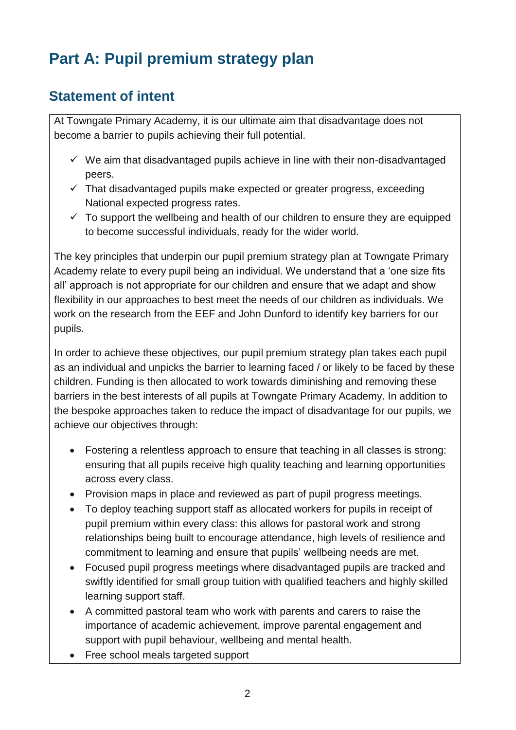# **Part A: Pupil premium strategy plan**

### **Statement of intent**

At Towngate Primary Academy, it is our ultimate aim that disadvantage does not become a barrier to pupils achieving their full potential.

- $\checkmark$  We aim that disadvantaged pupils achieve in line with their non-disadvantaged peers.
- $\checkmark$  That disadvantaged pupils make expected or greater progress, exceeding National expected progress rates.
- $\checkmark$  To support the wellbeing and health of our children to ensure they are equipped to become successful individuals, ready for the wider world.

The key principles that underpin our pupil premium strategy plan at Towngate Primary Academy relate to every pupil being an individual. We understand that a 'one size fits all' approach is not appropriate for our children and ensure that we adapt and show flexibility in our approaches to best meet the needs of our children as individuals. We work on the research from the EEF and John Dunford to identify key barriers for our pupils.

In order to achieve these objectives, our pupil premium strategy plan takes each pupil as an individual and unpicks the barrier to learning faced / or likely to be faced by these children. Funding is then allocated to work towards diminishing and removing these barriers in the best interests of all pupils at Towngate Primary Academy. In addition to the bespoke approaches taken to reduce the impact of disadvantage for our pupils, we achieve our objectives through:

- Fostering a relentless approach to ensure that teaching in all classes is strong: ensuring that all pupils receive high quality teaching and learning opportunities across every class.
- Provision maps in place and reviewed as part of pupil progress meetings.
- To deploy teaching support staff as allocated workers for pupils in receipt of pupil premium within every class: this allows for pastoral work and strong relationships being built to encourage attendance, high levels of resilience and commitment to learning and ensure that pupils' wellbeing needs are met.
- Focused pupil progress meetings where disadvantaged pupils are tracked and swiftly identified for small group tuition with qualified teachers and highly skilled learning support staff.
- A committed pastoral team who work with parents and carers to raise the importance of academic achievement, improve parental engagement and support with pupil behaviour, wellbeing and mental health.
- Free school meals targeted support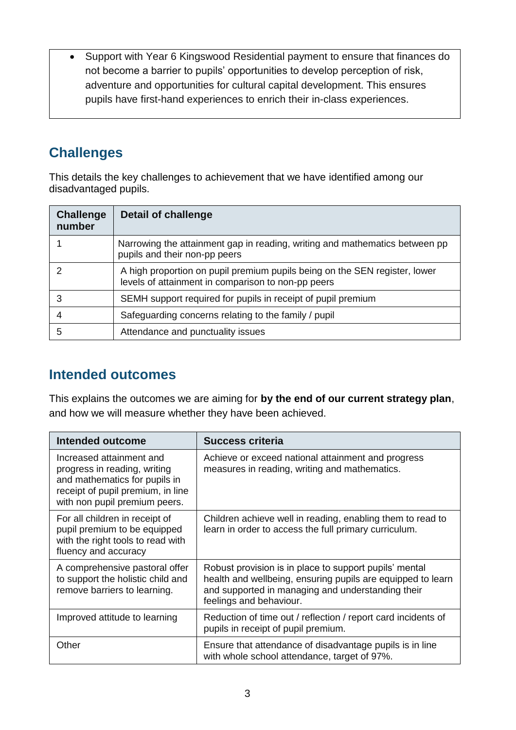• Support with Year 6 Kingswood Residential payment to ensure that finances do not become a barrier to pupils' opportunities to develop perception of risk, adventure and opportunities for cultural capital development. This ensures pupils have first-hand experiences to enrich their in-class experiences.

# **Challenges**

This details the key challenges to achievement that we have identified among our disadvantaged pupils.

| <b>Challenge</b><br>number | <b>Detail of challenge</b>                                                                                                       |
|----------------------------|----------------------------------------------------------------------------------------------------------------------------------|
|                            | Narrowing the attainment gap in reading, writing and mathematics between pp<br>pupils and their non-pp peers                     |
|                            | A high proportion on pupil premium pupils being on the SEN register, lower<br>levels of attainment in comparison to non-pp peers |
|                            | SEMH support required for pupils in receipt of pupil premium                                                                     |
|                            | Safeguarding concerns relating to the family / pupil                                                                             |
| 5                          | Attendance and punctuality issues                                                                                                |

### **Intended outcomes**

This explains the outcomes we are aiming for **by the end of our current strategy plan**, and how we will measure whether they have been achieved.

| Intended outcome                                                                                                                                                | <b>Success criteria</b>                                                                                                                                                                               |
|-----------------------------------------------------------------------------------------------------------------------------------------------------------------|-------------------------------------------------------------------------------------------------------------------------------------------------------------------------------------------------------|
| Increased attainment and<br>progress in reading, writing<br>and mathematics for pupils in<br>receipt of pupil premium, in line<br>with non pupil premium peers. | Achieve or exceed national attainment and progress<br>measures in reading, writing and mathematics.                                                                                                   |
| For all children in receipt of<br>pupil premium to be equipped<br>with the right tools to read with<br>fluency and accuracy                                     | Children achieve well in reading, enabling them to read to<br>learn in order to access the full primary curriculum.                                                                                   |
| A comprehensive pastoral offer<br>to support the holistic child and<br>remove barriers to learning.                                                             | Robust provision is in place to support pupils' mental<br>health and wellbeing, ensuring pupils are equipped to learn<br>and supported in managing and understanding their<br>feelings and behaviour. |
| Improved attitude to learning                                                                                                                                   | Reduction of time out / reflection / report card incidents of<br>pupils in receipt of pupil premium.                                                                                                  |
| Other                                                                                                                                                           | Ensure that attendance of disadvantage pupils is in line<br>with whole school attendance, target of 97%.                                                                                              |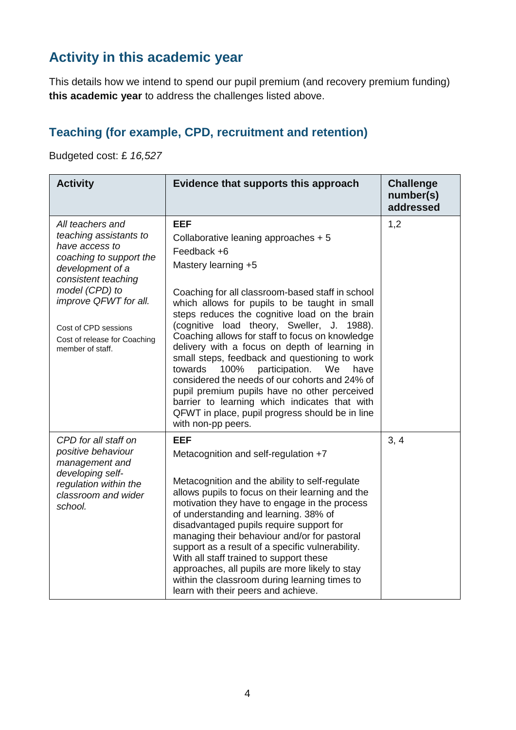## **Activity in this academic year**

This details how we intend to spend our pupil premium (and recovery premium funding) **this academic year** to address the challenges listed above.

#### **Teaching (for example, CPD, recruitment and retention)**

Budgeted cost: £ *16,527*

| <b>Activity</b>                                                                                                                                                                                                                                           | Evidence that supports this approach                                                                                                                                                                                                                                                                                                                                                                                                                                                                                                                                                                                                                                                                                             | <b>Challenge</b><br>number(s)<br>addressed |
|-----------------------------------------------------------------------------------------------------------------------------------------------------------------------------------------------------------------------------------------------------------|----------------------------------------------------------------------------------------------------------------------------------------------------------------------------------------------------------------------------------------------------------------------------------------------------------------------------------------------------------------------------------------------------------------------------------------------------------------------------------------------------------------------------------------------------------------------------------------------------------------------------------------------------------------------------------------------------------------------------------|--------------------------------------------|
| All teachers and<br>teaching assistants to<br>have access to<br>coaching to support the<br>development of a<br>consistent teaching<br>model (CPD) to<br>improve QFWT for all.<br>Cost of CPD sessions<br>Cost of release for Coaching<br>member of staff. | <b>EEF</b><br>Collaborative leaning approaches + 5<br>Feedback +6<br>Mastery learning +5<br>Coaching for all classroom-based staff in school<br>which allows for pupils to be taught in small<br>steps reduces the cognitive load on the brain<br>(cognitive load theory, Sweller, J. 1988).<br>Coaching allows for staff to focus on knowledge<br>delivery with a focus on depth of learning in<br>small steps, feedback and questioning to work<br>towards<br>100%<br>participation.<br>We<br>have<br>considered the needs of our cohorts and 24% of<br>pupil premium pupils have no other perceived<br>barrier to learning which indicates that with<br>QFWT in place, pupil progress should be in line<br>with non-pp peers. | 1,2                                        |
| CPD for all staff on<br>positive behaviour<br>management and<br>developing self-<br>regulation within the<br>classroom and wider<br>school.                                                                                                               | <b>EEF</b><br>Metacognition and self-regulation +7<br>Metacognition and the ability to self-regulate<br>allows pupils to focus on their learning and the<br>motivation they have to engage in the process<br>of understanding and learning. 38% of<br>disadvantaged pupils require support for<br>managing their behaviour and/or for pastoral<br>support as a result of a specific vulnerability.<br>With all staff trained to support these<br>approaches, all pupils are more likely to stay<br>within the classroom during learning times to<br>learn with their peers and achieve.                                                                                                                                          | 3, 4                                       |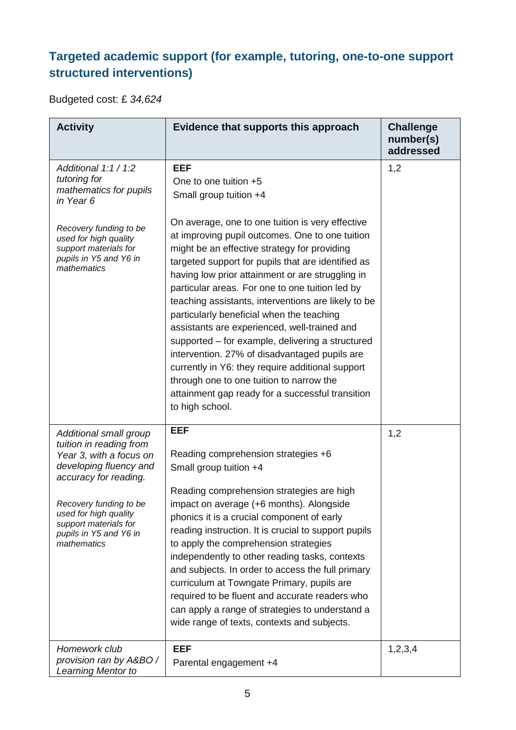### **Targeted academic support (for example, tutoring, one-to-one support structured interventions)**

Budgeted cost: £ *34,624*

| <b>Activity</b>                                                                                                                 | Evidence that supports this approach                                                                                                                                                                                                                                                                                                                                                                                                                                                                                                                                                                                                                                                                                                             | <b>Challenge</b><br>number(s)<br>addressed |
|---------------------------------------------------------------------------------------------------------------------------------|--------------------------------------------------------------------------------------------------------------------------------------------------------------------------------------------------------------------------------------------------------------------------------------------------------------------------------------------------------------------------------------------------------------------------------------------------------------------------------------------------------------------------------------------------------------------------------------------------------------------------------------------------------------------------------------------------------------------------------------------------|--------------------------------------------|
| Additional 1:1 / 1:2<br>tutoring for<br>mathematics for pupils<br>in Year 6                                                     | <b>EEF</b><br>One to one tuition +5<br>Small group tuition +4                                                                                                                                                                                                                                                                                                                                                                                                                                                                                                                                                                                                                                                                                    | 1,2                                        |
| Recovery funding to be<br>used for high quality<br>support materials for<br>pupils in Y5 and Y6 in<br>mathematics               | On average, one to one tuition is very effective<br>at improving pupil outcomes. One to one tuition<br>might be an effective strategy for providing<br>targeted support for pupils that are identified as<br>having low prior attainment or are struggling in<br>particular areas. For one to one tuition led by<br>teaching assistants, interventions are likely to be<br>particularly beneficial when the teaching<br>assistants are experienced, well-trained and<br>supported - for example, delivering a structured<br>intervention. 27% of disadvantaged pupils are<br>currently in Y6: they require additional support<br>through one to one tuition to narrow the<br>attainment gap ready for a successful transition<br>to high school. |                                            |
| Additional small group<br>tuition in reading from<br>Year 3, with a focus on<br>developing fluency and<br>accuracy for reading. | <b>EEF</b><br>Reading comprehension strategies +6<br>Small group tuition +4                                                                                                                                                                                                                                                                                                                                                                                                                                                                                                                                                                                                                                                                      | 1,2                                        |
| Recovery funding to be<br>used for high quality<br>support materials for<br>pupils in Y5 and Y6 in<br>mathematics               | Reading comprehension strategies are high<br>impact on average (+6 months). Alongside<br>phonics it is a crucial component of early<br>reading instruction. It is crucial to support pupils<br>to apply the comprehension strategies<br>independently to other reading tasks, contexts<br>and subjects. In order to access the full primary<br>curriculum at Towngate Primary, pupils are<br>required to be fluent and accurate readers who<br>can apply a range of strategies to understand a<br>wide range of texts, contexts and subjects.                                                                                                                                                                                                    |                                            |
| Homework club<br>provision ran by A&BO /<br>Learning Mentor to                                                                  | <b>EEF</b><br>Parental engagement +4                                                                                                                                                                                                                                                                                                                                                                                                                                                                                                                                                                                                                                                                                                             | 1,2,3,4                                    |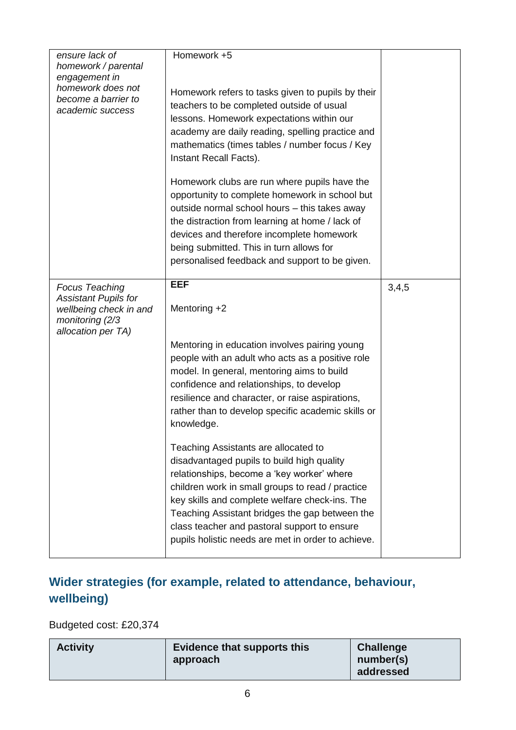| ensure lack of<br>homework / parental                           | Homework +5                                                                                        |       |
|-----------------------------------------------------------------|----------------------------------------------------------------------------------------------------|-------|
| engagement in                                                   |                                                                                                    |       |
| homework does not<br>become a barrier to                        | Homework refers to tasks given to pupils by their                                                  |       |
| academic success                                                | teachers to be completed outside of usual                                                          |       |
|                                                                 | lessons. Homework expectations within our                                                          |       |
|                                                                 | academy are daily reading, spelling practice and                                                   |       |
|                                                                 | mathematics (times tables / number focus / Key                                                     |       |
|                                                                 | Instant Recall Facts).                                                                             |       |
|                                                                 | Homework clubs are run where pupils have the                                                       |       |
|                                                                 | opportunity to complete homework in school but                                                     |       |
|                                                                 | outside normal school hours - this takes away                                                      |       |
|                                                                 | the distraction from learning at home / lack of                                                    |       |
|                                                                 | devices and therefore incomplete homework                                                          |       |
|                                                                 | being submitted. This in turn allows for                                                           |       |
|                                                                 | personalised feedback and support to be given.                                                     |       |
|                                                                 |                                                                                                    |       |
| <b>Focus Teaching</b>                                           | <b>EEF</b>                                                                                         | 3,4,5 |
| <b>Assistant Pupils for</b>                                     |                                                                                                    |       |
| wellbeing check in and<br>monitoring (2/3<br>allocation per TA) | Mentoring +2                                                                                       |       |
|                                                                 |                                                                                                    |       |
|                                                                 | Mentoring in education involves pairing young                                                      |       |
|                                                                 | people with an adult who acts as a positive role                                                   |       |
|                                                                 | model. In general, mentoring aims to build                                                         |       |
|                                                                 | confidence and relationships, to develop                                                           |       |
|                                                                 | resilience and character, or raise aspirations,                                                    |       |
|                                                                 | rather than to develop specific academic skills or<br>knowledge.                                   |       |
|                                                                 |                                                                                                    |       |
|                                                                 | Teaching Assistants are allocated to                                                               |       |
|                                                                 | disadvantaged pupils to build high quality                                                         |       |
|                                                                 | relationships, become a 'key worker' where                                                         |       |
|                                                                 | children work in small groups to read / practice                                                   |       |
|                                                                 | key skills and complete welfare check-ins. The                                                     |       |
|                                                                 | Teaching Assistant bridges the gap between the                                                     |       |
|                                                                 | class teacher and pastoral support to ensure<br>pupils holistic needs are met in order to achieve. |       |

### **Wider strategies (for example, related to attendance, behaviour, wellbeing)**

Budgeted cost: £20,374

| <b>Evidence that supports this</b> | <b>Challenge</b> |
|------------------------------------|------------------|
| <b>Activity</b>                    | number(s)        |
| approach                           | addressed        |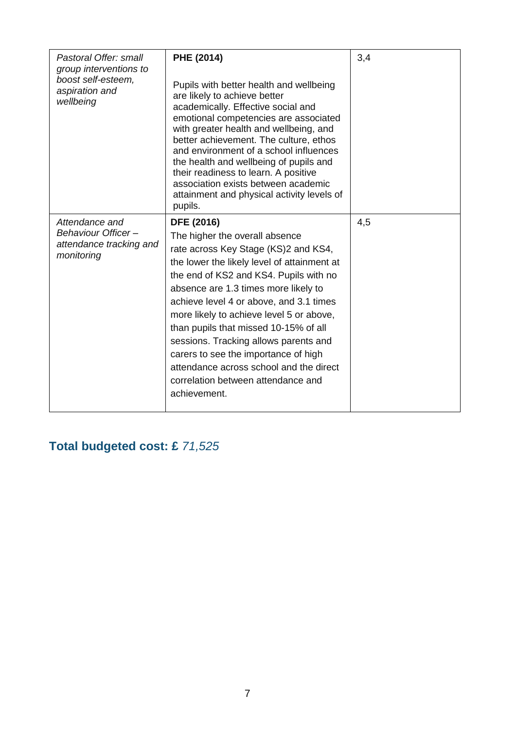| Pastoral Offer: small<br>group interventions to<br>boost self-esteem,<br>aspiration and<br>wellbeing | PHE (2014)<br>Pupils with better health and wellbeing<br>are likely to achieve better<br>academically. Effective social and<br>emotional competencies are associated<br>with greater health and wellbeing, and<br>better achievement. The culture, ethos<br>and environment of a school influences<br>the health and wellbeing of pupils and<br>their readiness to learn. A positive<br>association exists between academic<br>attainment and physical activity levels of<br>pupils.                                                           | 3,4 |
|------------------------------------------------------------------------------------------------------|------------------------------------------------------------------------------------------------------------------------------------------------------------------------------------------------------------------------------------------------------------------------------------------------------------------------------------------------------------------------------------------------------------------------------------------------------------------------------------------------------------------------------------------------|-----|
| Attendance and<br>Behaviour Officer-<br>attendance tracking and<br>monitoring                        | <b>DFE (2016)</b><br>The higher the overall absence<br>rate across Key Stage (KS)2 and KS4,<br>the lower the likely level of attainment at<br>the end of KS2 and KS4. Pupils with no<br>absence are 1.3 times more likely to<br>achieve level 4 or above, and 3.1 times<br>more likely to achieve level 5 or above,<br>than pupils that missed 10-15% of all<br>sessions. Tracking allows parents and<br>carers to see the importance of high<br>attendance across school and the direct<br>correlation between attendance and<br>achievement. | 4,5 |

**Total budgeted cost: £** *71,525*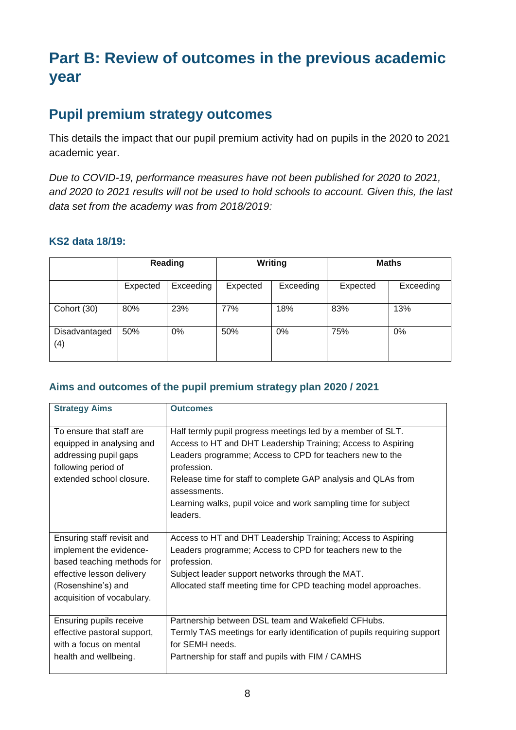# **Part B: Review of outcomes in the previous academic year**

#### **Pupil premium strategy outcomes**

This details the impact that our pupil premium activity had on pupils in the 2020 to 2021 academic year.

*Due to COVID-19, performance measures have not been published for 2020 to 2021, and 2020 to 2021 results will not be used to hold schools to account. Given this, the last data set from the academy was from 2018/2019:*

#### **KS2 data 18/19:**

|                      | Reading  |           | Writing  |           | <b>Maths</b> |           |
|----------------------|----------|-----------|----------|-----------|--------------|-----------|
|                      | Expected | Exceeding | Expected | Exceeding | Expected     | Exceeding |
| Cohort (30)          | 80%      | 23%       | 77%      | 18%       | 83%          | 13%       |
| Disadvantaged<br>(4) | 50%      | $0\%$     | 50%      | 0%        | 75%          | $0\%$     |

#### **Aims and outcomes of the pupil premium strategy plan 2020 / 2021**

| <b>Strategy Aims</b>        | <b>Outcomes</b>                                                               |
|-----------------------------|-------------------------------------------------------------------------------|
| To ensure that staff are    | Half termly pupil progress meetings led by a member of SLT.                   |
| equipped in analysing and   | Access to HT and DHT Leadership Training; Access to Aspiring                  |
| addressing pupil gaps       | Leaders programme; Access to CPD for teachers new to the                      |
| following period of         | profession.                                                                   |
| extended school closure.    | Release time for staff to complete GAP analysis and QLAs from<br>assessments. |
|                             | Learning walks, pupil voice and work sampling time for subject                |
|                             | leaders.                                                                      |
|                             |                                                                               |
| Ensuring staff revisit and  | Access to HT and DHT Leadership Training; Access to Aspiring                  |
| implement the evidence-     | Leaders programme; Access to CPD for teachers new to the                      |
| based teaching methods for  | profession.                                                                   |
| effective lesson delivery   | Subject leader support networks through the MAT.                              |
| (Rosenshine's) and          | Allocated staff meeting time for CPD teaching model approaches.               |
| acquisition of vocabulary.  |                                                                               |
|                             |                                                                               |
| Ensuring pupils receive     | Partnership between DSL team and Wakefield CFHubs.                            |
| effective pastoral support, | Termly TAS meetings for early identification of pupils requiring support      |
| with a focus on mental      | for SEMH needs.                                                               |
| health and wellbeing.       | Partnership for staff and pupils with FIM / CAMHS                             |
|                             |                                                                               |